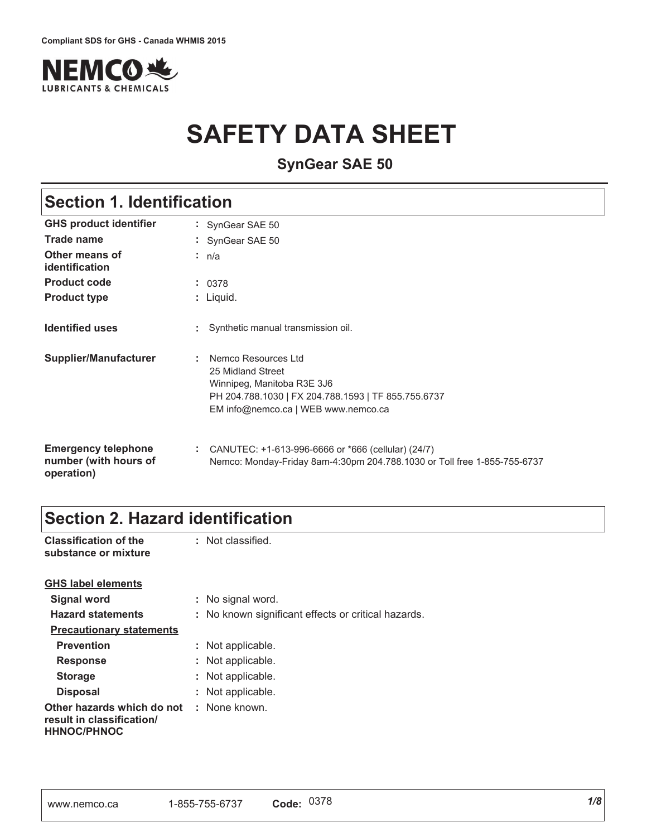

# **SAFETY DATA SHEET**

**SynGear SAE 50**

## **Section 1. Identification**

| <b>GHS product identifier</b>                                     | : SynGear SAE 50                                                                                                                                                     |
|-------------------------------------------------------------------|----------------------------------------------------------------------------------------------------------------------------------------------------------------------|
| Trade name                                                        | : SynGear SAE 50                                                                                                                                                     |
| Other means of<br>identification                                  | : $n/a$                                                                                                                                                              |
| <b>Product code</b>                                               | : 0378                                                                                                                                                               |
| <b>Product type</b>                                               | $:$ Liquid.                                                                                                                                                          |
| <b>Identified uses</b>                                            | : Synthetic manual transmission oil.                                                                                                                                 |
| Supplier/Manufacturer                                             | Nemco Resources Ltd<br>25 Midland Street<br>Winnipeg, Manitoba R3E 3J6<br>PH 204.788.1030   FX 204.788.1593   TF 855.755.6737<br>EM info@nemco.ca   WEB www.nemco.ca |
| <b>Emergency telephone</b><br>number (with hours of<br>operation) | : CANUTEC: $+1-613-996-6666$ or $*666$ (cellular) (24/7)<br>Nemco: Monday-Friday 8am-4:30pm 204.788.1030 or Toll free 1-855-755-6737                                 |

### **Section 2. Hazard identification**

| <b>Classification of the</b><br>substance or mixture                                               | : Not classified.                                   |
|----------------------------------------------------------------------------------------------------|-----------------------------------------------------|
| <b>GHS label elements</b>                                                                          |                                                     |
| <b>Signal word</b>                                                                                 | : No signal word.                                   |
| <b>Hazard statements</b>                                                                           | : No known significant effects or critical hazards. |
| <b>Precautionary statements</b>                                                                    |                                                     |
| <b>Prevention</b>                                                                                  | : Not applicable.                                   |
| <b>Response</b>                                                                                    | : Not applicable.                                   |
| <b>Storage</b>                                                                                     | : Not applicable.                                   |
| <b>Disposal</b>                                                                                    | : Not applicable.                                   |
| <b>Other hazards which do not : None known.</b><br>result in classification/<br><b>HHNOC/PHNOC</b> |                                                     |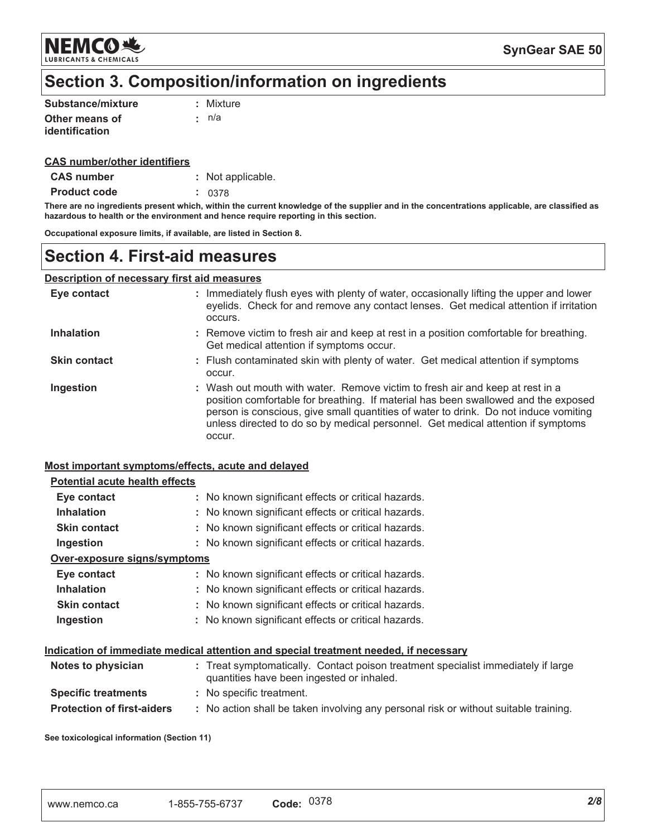

## Section 3. Composition/information on ingredients

| Substance/mixture | : Mixture |
|-------------------|-----------|
| Other means of    | : n/a     |
| identification    |           |

#### **CAS number/other identifiers**

| : Not applicable. |
|-------------------|
|                   |

**Product code**  $: 0378$ 

There are no ingredients present which, within the current knowledge of the supplier and in the concentrations applicable, are classified as hazardous to health or the environment and hence require reporting in this section.

Occupational exposure limits, if available, are listed in Section 8.

### **Section 4. First-aid measures**

### **Description of necessary first aid measures**

| Eye contact         | : Immediately flush eyes with plenty of water, occasionally lifting the upper and lower<br>eyelids. Check for and remove any contact lenses. Get medical attention if irritation<br>occurs.                                                                                                                                                               |
|---------------------|-----------------------------------------------------------------------------------------------------------------------------------------------------------------------------------------------------------------------------------------------------------------------------------------------------------------------------------------------------------|
| <b>Inhalation</b>   | : Remove victim to fresh air and keep at rest in a position comfortable for breathing.<br>Get medical attention if symptoms occur.                                                                                                                                                                                                                        |
| <b>Skin contact</b> | : Flush contaminated skin with plenty of water. Get medical attention if symptoms<br>occur.                                                                                                                                                                                                                                                               |
| Ingestion           | : Wash out mouth with water. Remove victim to fresh air and keep at rest in a<br>position comfortable for breathing. If material has been swallowed and the exposed<br>person is conscious, give small quantities of water to drink. Do not induce vomiting<br>unless directed to do so by medical personnel. Get medical attention if symptoms<br>occur. |

#### Most important symptoms/effects, acute and delayed

#### **Potential acute health effects** Eye contact : No known significant effects or critical hazards. **Inhalation** : No known significant effects or critical hazards. **Skin contact** : No known significant effects or critical hazards. : No known significant effects or critical hazards. Ingestion Over-exposure signs/symptoms Eye contact : No known significant effects or critical hazards. **Inhalation** : No known significant effects or critical hazards. **Skin contact** : No known significant effects or critical hazards. Ingestion : No known significant effects or critical hazards. Indication of immediate medical attention and special treatment needed, if necessary

| Notes to physician                | : Treat symptomatically. Contact poison treatment specialist immediately if large<br>quantities have been ingested or inhaled. |
|-----------------------------------|--------------------------------------------------------------------------------------------------------------------------------|
| <b>Specific treatments</b>        | : No specific treatment.                                                                                                       |
| <b>Protection of first-aiders</b> | : No action shall be taken involving any personal risk or without suitable training.                                           |

See toxicological information (Section 11)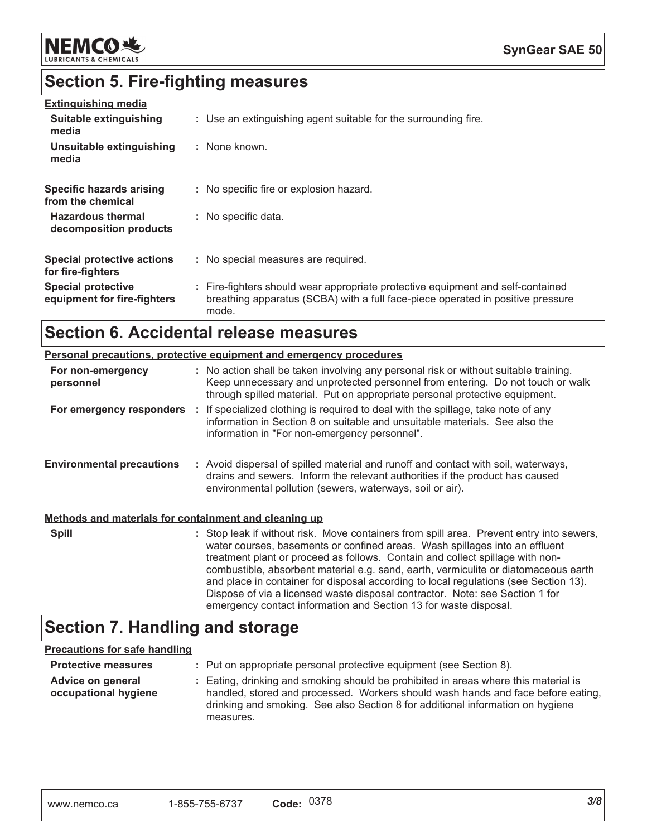

## **Section 5. Fire-fighting measures**

| <b>Extinguishing media</b><br>Suitable extinguishing<br>media | : Use an extinguishing agent suitable for the surrounding fire.                                                                                                             |
|---------------------------------------------------------------|-----------------------------------------------------------------------------------------------------------------------------------------------------------------------------|
| Unsuitable extinguishing<br>media                             | : None known.                                                                                                                                                               |
| Specific hazards arising<br>from the chemical                 | : No specific fire or explosion hazard.                                                                                                                                     |
| <b>Hazardous thermal</b><br>decomposition products            | : No specific data.                                                                                                                                                         |
| <b>Special protective actions</b><br>for fire-fighters        | : No special measures are required.                                                                                                                                         |
| <b>Special protective</b><br>equipment for fire-fighters      | : Fire-fighters should wear appropriate protective equipment and self-contained<br>breathing apparatus (SCBA) with a full face-piece operated in positive pressure<br>mode. |

## Section 6. Accidental release measures

|                                                       | <b>Personal precautions, protective equipment and emergency procedures</b>                                                                                                                                                                                                                                                                                                                                                                                                                                              |
|-------------------------------------------------------|-------------------------------------------------------------------------------------------------------------------------------------------------------------------------------------------------------------------------------------------------------------------------------------------------------------------------------------------------------------------------------------------------------------------------------------------------------------------------------------------------------------------------|
| For non-emergency<br>personnel                        | : No action shall be taken involving any personal risk or without suitable training.<br>Keep unnecessary and unprotected personnel from entering. Do not touch or walk<br>through spilled material. Put on appropriate personal protective equipment.                                                                                                                                                                                                                                                                   |
|                                                       | For emergency responders : If specialized clothing is required to deal with the spillage, take note of any<br>information in Section 8 on suitable and unsuitable materials. See also the<br>information in "For non-emergency personnel".                                                                                                                                                                                                                                                                              |
| <b>Environmental precautions</b>                      | : Avoid dispersal of spilled material and runoff and contact with soil, waterways,<br>drains and sewers. Inform the relevant authorities if the product has caused<br>environmental pollution (sewers, waterways, soil or air).                                                                                                                                                                                                                                                                                         |
| Methods and materials for containment and cleaning up |                                                                                                                                                                                                                                                                                                                                                                                                                                                                                                                         |
| <b>Spill</b>                                          | : Stop leak if without risk. Move containers from spill area. Prevent entry into sewers,<br>water courses, basements or confined areas. Wash spillages into an effluent<br>treatment plant or proceed as follows. Contain and collect spillage with non-<br>combustible, absorbent material e.g. sand, earth, vermiculite or diatomaceous earth<br>and place in container for disposal according to local regulations (see Section 13).<br>Dispose of via a licensed waste disposal contractor. Note: see Section 1 for |

### **Section 7. Handling and storage**

### **Precautions for safe handling**

| <b>Protective measures</b>                | : Put on appropriate personal protective equipment (see Section 8).                                                                                                                                                                                                    |
|-------------------------------------------|------------------------------------------------------------------------------------------------------------------------------------------------------------------------------------------------------------------------------------------------------------------------|
| Advice on general<br>occupational hygiene | : Eating, drinking and smoking should be prohibited in areas where this material is<br>handled, stored and processed. Workers should wash hands and face before eating,<br>drinking and smoking. See also Section 8 for additional information on hygiene<br>measures. |

emergency contact information and Section 13 for waste disposal.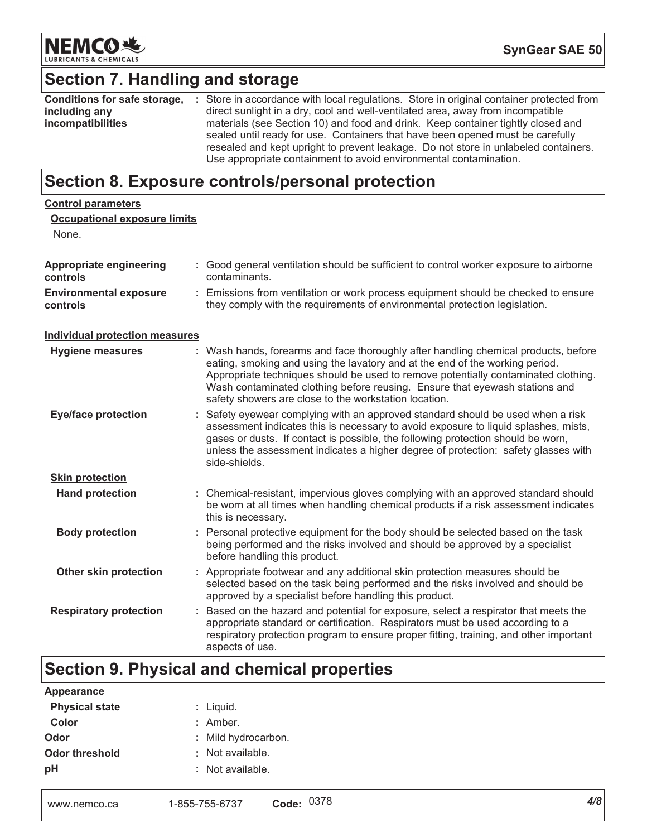

## Section 7. Handling and storage

| Conditions for safe storage, | : Store in accordance with local regulations. Store in original container protected from |
|------------------------------|------------------------------------------------------------------------------------------|
| including any                | direct sunlight in a dry, cool and well-ventilated area, away from incompatible          |
| incompatibilities            | materials (see Section 10) and food and drink. Keep container tightly closed and         |
|                              | sealed until ready for use. Containers that have been opened must be carefully           |
|                              | resealed and kept upright to prevent leakage. Do not store in unlabeled containers.      |
|                              | Use appropriate containment to avoid environmental contamination.                        |

## Section 8. Exposure controls/personal protection

| <b>Control parameters</b>                  |                                                                                                                                                                                                                                                                                                                                                                                                   |
|--------------------------------------------|---------------------------------------------------------------------------------------------------------------------------------------------------------------------------------------------------------------------------------------------------------------------------------------------------------------------------------------------------------------------------------------------------|
| <b>Occupational exposure limits</b>        |                                                                                                                                                                                                                                                                                                                                                                                                   |
| None.                                      |                                                                                                                                                                                                                                                                                                                                                                                                   |
| <b>Appropriate engineering</b><br>controls | : Good general ventilation should be sufficient to control worker exposure to airborne<br>contaminants.                                                                                                                                                                                                                                                                                           |
| <b>Environmental exposure</b><br>controls  | : Emissions from ventilation or work process equipment should be checked to ensure<br>they comply with the requirements of environmental protection legislation.                                                                                                                                                                                                                                  |
| <b>Individual protection measures</b>      |                                                                                                                                                                                                                                                                                                                                                                                                   |
| <b>Hygiene measures</b>                    | : Wash hands, forearms and face thoroughly after handling chemical products, before<br>eating, smoking and using the lavatory and at the end of the working period.<br>Appropriate techniques should be used to remove potentially contaminated clothing.<br>Wash contaminated clothing before reusing. Ensure that eyewash stations and<br>safety showers are close to the workstation location. |
| <b>Eye/face protection</b>                 | : Safety eyewear complying with an approved standard should be used when a risk<br>assessment indicates this is necessary to avoid exposure to liquid splashes, mists,<br>gases or dusts. If contact is possible, the following protection should be worn,<br>unless the assessment indicates a higher degree of protection: safety glasses with<br>side-shields.                                 |
| <b>Skin protection</b>                     |                                                                                                                                                                                                                                                                                                                                                                                                   |
| <b>Hand protection</b>                     | : Chemical-resistant, impervious gloves complying with an approved standard should<br>be worn at all times when handling chemical products if a risk assessment indicates<br>this is necessary.                                                                                                                                                                                                   |
| <b>Body protection</b>                     | : Personal protective equipment for the body should be selected based on the task<br>being performed and the risks involved and should be approved by a specialist<br>before handling this product.                                                                                                                                                                                               |
| Other skin protection                      | : Appropriate footwear and any additional skin protection measures should be<br>selected based on the task being performed and the risks involved and should be<br>approved by a specialist before handling this product.                                                                                                                                                                         |
| <b>Respiratory protection</b>              | : Based on the hazard and potential for exposure, select a respirator that meets the<br>appropriate standard or certification. Respirators must be used according to a<br>respiratory protection program to ensure proper fitting, training, and other important<br>aspects of use.                                                                                                               |

## Section 9. Physical and chemical properties

| <b>Appearance</b>     |                     |
|-----------------------|---------------------|
| <b>Physical state</b> | : Liquid.           |
| Color                 | $:$ Amber.          |
| Odor                  | : Mild hydrocarbon. |
| Odor threshold        | : Not available.    |
| рH                    | : Not available.    |
|                       |                     |
|                       |                     |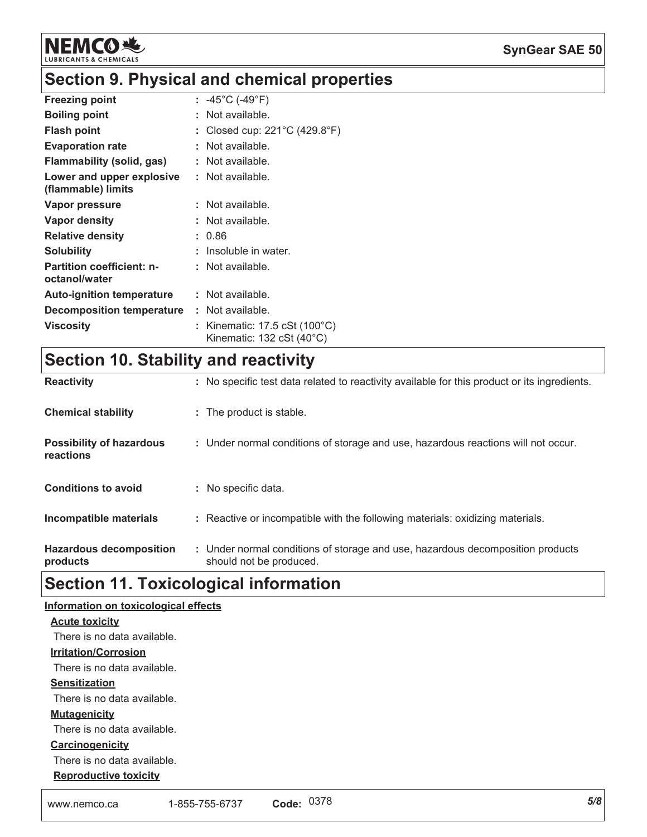

## Section 9. Physical and chemical properties

| <b>Freezing point</b>                             | : -45°C (-49°F)                                                                         |
|---------------------------------------------------|-----------------------------------------------------------------------------------------|
| <b>Boiling point</b>                              | Not available.                                                                          |
| Flash point                                       | Closed cup: 221°C (429.8°F)                                                             |
| <b>Evaporation rate</b>                           | Not available.                                                                          |
| Flammability (solid, gas)                         | Not available.                                                                          |
| Lower and upper explosive<br>(flammable) limits   | Not available.                                                                          |
| Vapor pressure                                    | : Not available.                                                                        |
| Vapor density                                     | Not available.                                                                          |
| <b>Relative density</b>                           | 0.86                                                                                    |
| Solubility                                        | Insoluble in water.                                                                     |
| <b>Partition coefficient: n-</b><br>octanol/water | Not available.                                                                          |
| <b>Auto-ignition temperature</b>                  | Not available.                                                                          |
| <b>Decomposition temperature</b>                  | Not available.                                                                          |
| <b>Viscosity</b>                                  | Kinematic: $17.5 \text{ cSt}$ (100 $^{\circ}$ C)<br>Kinematic: 132 cSt $(40^{\circ}$ C) |

## Section 10. Stability and reactivity

| <b>Reactivity</b>                            | : No specific test data related to reactivity available for this product or its ingredients.              |
|----------------------------------------------|-----------------------------------------------------------------------------------------------------------|
| <b>Chemical stability</b>                    | : The product is stable.                                                                                  |
| <b>Possibility of hazardous</b><br>reactions | : Under normal conditions of storage and use, hazardous reactions will not occur.                         |
| <b>Conditions to avoid</b>                   | : No specific data.                                                                                       |
| Incompatible materials                       | : Reactive or incompatible with the following materials: oxidizing materials.                             |
| <b>Hazardous decomposition</b><br>products   | : Under normal conditions of storage and use, hazardous decomposition products<br>should not be produced. |

## **Section 11. Toxicological information**

| Information on toxicological effects |                |            |     |
|--------------------------------------|----------------|------------|-----|
| <b>Acute toxicity</b>                |                |            |     |
| There is no data available.          |                |            |     |
| <b>Irritation/Corrosion</b>          |                |            |     |
| There is no data available.          |                |            |     |
| <b>Sensitization</b>                 |                |            |     |
| There is no data available.          |                |            |     |
| <b>Mutagenicity</b>                  |                |            |     |
| There is no data available.          |                |            |     |
| Carcinogenicity                      |                |            |     |
| There is no data available.          |                |            |     |
| <b>Reproductive toxicity</b>         |                |            |     |
| www.nemco.ca                         | 1-855-755-6737 | Code: 0378 | 5/8 |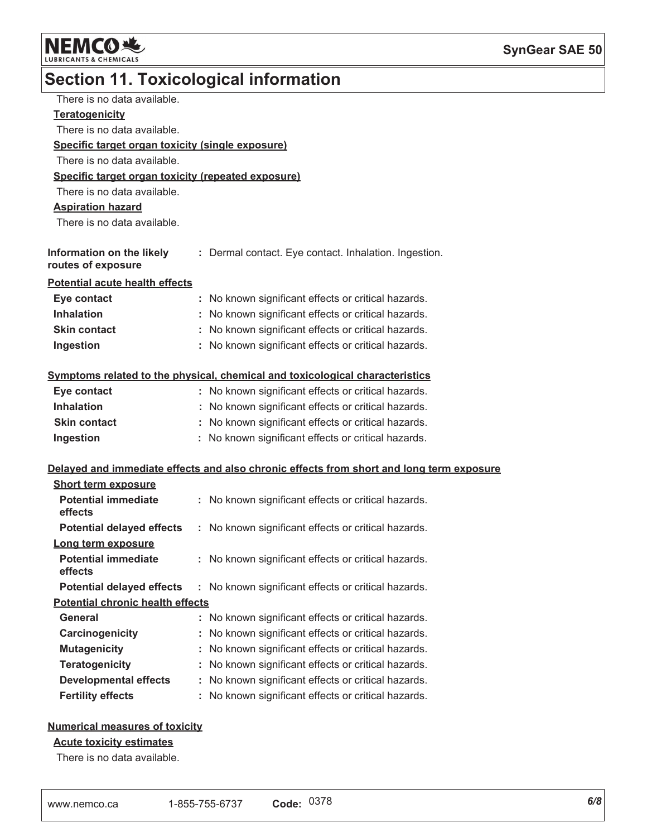

## **Section 11. Toxicological information**

| There is no data available.                        |                                                                                          |
|----------------------------------------------------|------------------------------------------------------------------------------------------|
| <b>Teratogenicity</b>                              |                                                                                          |
| There is no data available.                        |                                                                                          |
| Specific target organ toxicity (single exposure)   |                                                                                          |
| There is no data available.                        |                                                                                          |
| Specific target organ toxicity (repeated exposure) |                                                                                          |
| There is no data available.                        |                                                                                          |
| <b>Aspiration hazard</b>                           |                                                                                          |
| There is no data available.                        |                                                                                          |
|                                                    |                                                                                          |
| Information on the likely<br>routes of exposure    | : Dermal contact. Eye contact. Inhalation. Ingestion.                                    |
| <b>Potential acute health effects</b>              |                                                                                          |
| Eye contact                                        | : No known significant effects or critical hazards.                                      |
| <b>Inhalation</b>                                  | : No known significant effects or critical hazards.                                      |
| <b>Skin contact</b>                                | : No known significant effects or critical hazards.                                      |
| Ingestion                                          | : No known significant effects or critical hazards.                                      |
|                                                    |                                                                                          |
|                                                    | Symptoms related to the physical, chemical and toxicological characteristics             |
| Eye contact                                        | : No known significant effects or critical hazards.                                      |
| <b>Inhalation</b>                                  | : No known significant effects or critical hazards.                                      |
| <b>Skin contact</b>                                | : No known significant effects or critical hazards.                                      |
| Ingestion                                          | : No known significant effects or critical hazards.                                      |
|                                                    |                                                                                          |
|                                                    | Delayed and immediate effects and also chronic effects from short and long term exposure |
| <b>Short term exposure</b>                         |                                                                                          |
| <b>Potential immediate</b><br>effects              | : No known significant effects or critical hazards.                                      |
| <b>Potential delayed effects</b>                   | : No known significant effects or critical hazards.                                      |
| Long term exposure                                 |                                                                                          |
| <b>Potential immediate</b><br>effects              | No known significant effects or critical hazards.                                        |
| <b>Potential delayed effects</b>                   | No known significant effects or critical hazards.                                        |
| <b>Potential chronic health effects</b>            |                                                                                          |
| General                                            | No known significant effects or critical hazards.                                        |
| Carcinogenicity                                    | No known significant effects or critical hazards.                                        |
| <b>Mutagenicity</b>                                | No known significant effects or critical hazards.                                        |
| <b>Teratogenicity</b>                              | No known significant effects or critical hazards.                                        |
| <b>Developmental effects</b>                       | No known significant effects or critical hazards.                                        |
| <b>Fertility effects</b>                           | No known significant effects or critical hazards.                                        |

### **Numerical measures of toxicity**

### **Acute toxicity estimates**

There is no data available.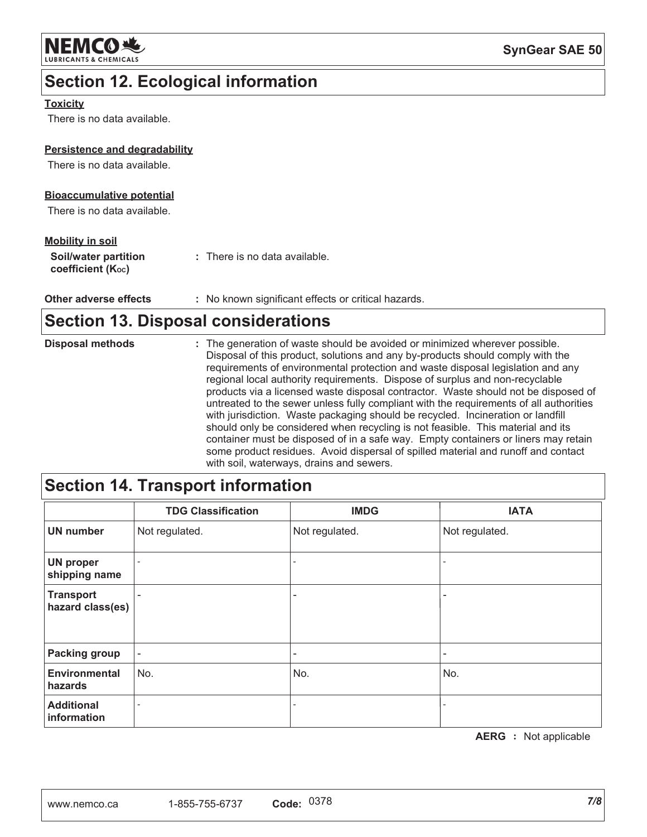

## **Section 12. Ecological information**

### **Toxicity**

There is no data available.

### Persistence and degradability

There is no data available.

### **Bioaccumulative potential**

There is no data available.

### **Mobility in soil**

| Soil/water partition   | : There is no data available. |
|------------------------|-------------------------------|
| coefficient $(K_{oc})$ |                               |

Other adverse effects : No known significant effects or critical hazards.

### **Section 13. Disposal considerations**

| <b>Disposal methods</b> | : The generation of waste should be avoided or minimized wherever possible.<br>Disposal of this product, solutions and any by-products should comply with the<br>requirements of environmental protection and waste disposal legislation and any<br>regional local authority requirements. Dispose of surplus and non-recyclable<br>products via a licensed waste disposal contractor. Waste should not be disposed of<br>untreated to the sewer unless fully compliant with the requirements of all authorities<br>with jurisdiction. Waste packaging should be recycled. Incineration or landfill |
|-------------------------|-----------------------------------------------------------------------------------------------------------------------------------------------------------------------------------------------------------------------------------------------------------------------------------------------------------------------------------------------------------------------------------------------------------------------------------------------------------------------------------------------------------------------------------------------------------------------------------------------------|
|                         | should only be considered when recycling is not feasible. This material and its<br>container must be disposed of in a safe way. Empty containers or liners may retain<br>some product residues. Avoid dispersal of spilled material and runoff and contact<br>with soil, waterways, drains and sewers.                                                                                                                                                                                                                                                                                              |

## **Section 14. Transport information**

|                                      | <b>TDG Classification</b> | <b>IMDG</b>              | <b>IATA</b>    |
|--------------------------------------|---------------------------|--------------------------|----------------|
| <b>UN number</b>                     | Not regulated.            | Not regulated.           | Not regulated. |
| <b>UN proper</b><br>shipping name    |                           |                          |                |
| <b>Transport</b><br>hazard class(es) |                           | ۰                        |                |
| <b>Packing group</b>                 | $\overline{\phantom{a}}$  | $\overline{\phantom{a}}$ |                |
| <b>Environmental</b><br>hazards      | No.                       | No.                      | No.            |
| <b>Additional</b><br>information     |                           |                          |                |

**AERG** : Not applicable